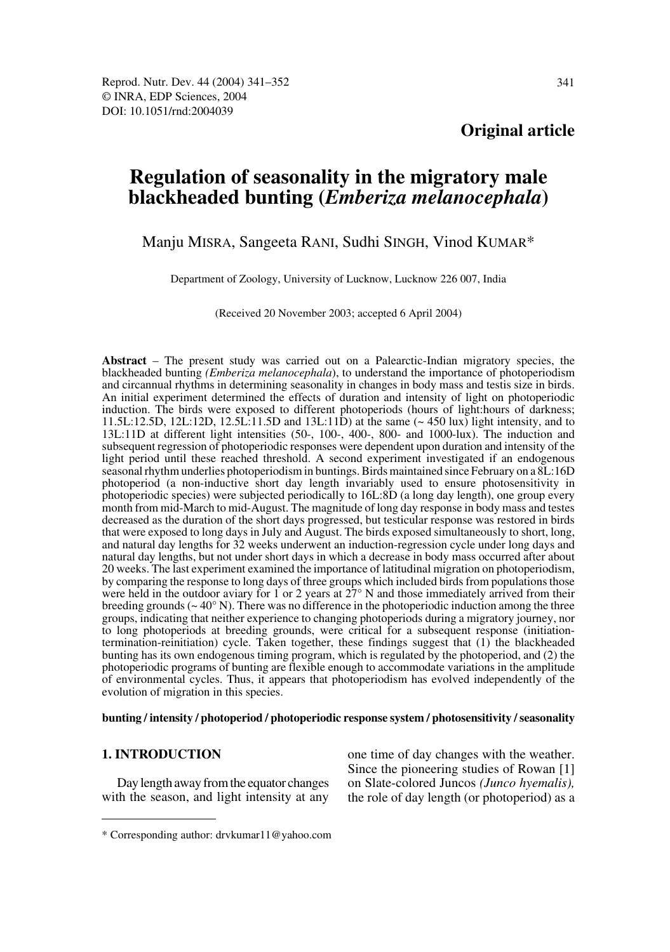## **Original article**

# **Regulation of seasonality in the migratory male blackheaded bunting (***Emberiza melanocephala***)**

Manju MISRA, Sangeeta RANI, Sudhi SINGH, Vinod KUMAR\*

Department of Zoology, University of Lucknow, Lucknow 226 007, India

(Received 20 November 2003; accepted 6 April 2004)

**Abstract** – The present study was carried out on a Palearctic-Indian migratory species, the blackheaded bunting *(Emberiza melanocephala*), to understand the importance of photoperiodism and circannual rhythms in determining seasonality in changes in body mass and testis size in birds. An initial experiment determined the effects of duration and intensity of light on photoperiodic induction. The birds were exposed to different photoperiods (hours of light:hours of darkness; 11.5L:12.5D, 12L:12D, 12.5L:11.5D and 13L:11D) at the same (~ 450 lux) light intensity, and to 13L:11D at different light intensities (50-, 100-, 400-, 800- and 1000-lux). The induction and subsequent regression of photoperiodic responses were dependent upon duration and intensity of the light period until these reached threshold. A second experiment investigated if an endogenous seasonal rhythm underlies photoperiodism in buntings. Birds maintained since February on a 8L:16D photoperiod (a non-inductive short day length invariably used to ensure photosensitivity in photoperiodic species) were subjected periodically to 16L:8D (a long day length), one group every month from mid-March to mid-August. The magnitude of long day response in body mass and testes decreased as the duration of the short days progressed, but testicular response was restored in birds that were exposed to long days in July and August. The birds exposed simultaneously to short, long, and natural day lengths for 32 weeks underwent an induction-regression cycle under long days and natural day lengths, but not under short days in which a decrease in body mass occurred after about 20 weeks. The last experiment examined the importance of latitudinal migration on photoperiodism, by comparing the response to long days of three groups which included birds from populations those were held in the outdoor aviary for 1 or 2 years at  $27^{\circ}$  N and those immediately arrived from their breeding grounds ( $\sim$  40 $\degree$  N). There was no difference in the photoperiodic induction among the three groups, indicating that neither experience to changing photoperiods during a migratory journey, nor to long photoperiods at breeding grounds, were critical for a subsequent response (initiationtermination-reinitiation) cycle. Taken together, these findings suggest that (1) the blackheaded bunting has its own endogenous timing program, which is regulated by the photoperiod, and (2) the photoperiodic programs of bunting are flexible enough to accommodate variations in the amplitude of environmental cycles. Thus, it appears that photoperiodism has evolved independently of the evolution of migration in this species.

#### **bunting / intensity / photoperiod / photoperiodic response system / photosensitivity / seasonality**

### **1. INTRODUCTION**

Day length away from the equator changes with the season, and light intensity at any one time of day changes with the weather. Since the pioneering studies of Rowan [1] on Slate-colored Juncos *(Junco hyemalis),* the role of day length (or photoperiod) as a

<sup>\*</sup> Corresponding author: drvkumar11@yahoo.com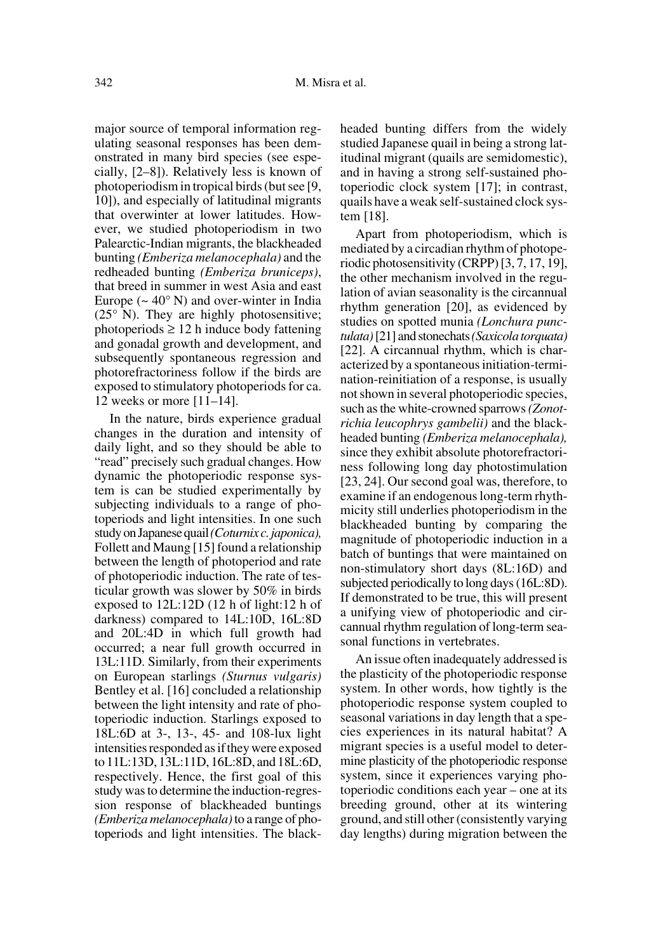major source of temporal information regulating seasonal responses has been demonstrated in many bird species (see especially, [2–8]). Relatively less is known of photoperiodism in tropical birds (but see [9, 10]), and especially of latitudinal migrants that overwinter at lower latitudes. However, we studied photoperiodism in two Palearctic-Indian migrants, the blackheaded bunting *(Emberiza melanocephala)* and the redheaded bunting *(Emberiza bruniceps)*, that breed in summer in west Asia and east Europe ( $\sim 40^{\circ}$  N) and over-winter in India (25° N). They are highly photosensitive; photoperiods  $\geq 12$  h induce body fattening and gonadal growth and development, and subsequently spontaneous regression and photorefractoriness follow if the birds are exposed to stimulatory photoperiods for ca. 12 weeks or more [11–14].

In the nature, birds experience gradual changes in the duration and intensity of daily light, and so they should be able to "read" precisely such gradual changes. How dynamic the photoperiodic response system is can be studied experimentally by subjecting individuals to a range of photoperiods and light intensities. In one such study on Japanese quail *(Coturnix c. japonica),* Follett and Maung [15] found a relationship between the length of photoperiod and rate of photoperiodic induction. The rate of testicular growth was slower by 50% in birds exposed to 12L:12D (12 h of light:12 h of darkness) compared to 14L:10D, 16L:8D and 20L:4D in which full growth had occurred; a near full growth occurred in 13L:11D. Similarly, from their experiments on European starlings *(Sturnus vulgaris)* Bentley et al. [16] concluded a relationship between the light intensity and rate of photoperiodic induction. Starlings exposed to 18L:6D at 3-, 13-, 45- and 108-lux light intensities responded as if they were exposed to 11L:13D, 13L:11D, 16L:8D, and 18L:6D, respectively. Hence, the first goal of this study was to determine the induction-regression response of blackheaded buntings *(Emberiza melanocephala)* to a range of photoperiods and light intensities. The blackheaded bunting differs from the widely studied Japanese quail in being a strong latitudinal migrant (quails are semidomestic), and in having a strong self-sustained photoperiodic clock system [17]; in contrast, quails have a weak self-sustained clock system [18].

Apart from photoperiodism, which is mediated by a circadian rhythm of photoperiodic photosensitivity (CRPP) [3, 7, 17, 19], the other mechanism involved in the regulation of avian seasonality is the circannual rhythm generation [20], as evidenced by studies on spotted munia *(Lonchura punctulata)* [21] and stonechats *(Saxicola torquata)* [22]. A circannual rhythm, which is characterized by a spontaneous initiation-termination-reinitiation of a response, is usually not shown in several photoperiodic species, such as the white-crowned sparrows *(Zonotrichia leucophrys gambelii)* and the blackheaded bunting *(Emberiza melanocephala),* since they exhibit absolute photorefractoriness following long day photostimulation [23, 24]. Our second goal was, therefore, to examine if an endogenous long-term rhythmicity still underlies photoperiodism in the blackheaded bunting by comparing the magnitude of photoperiodic induction in a batch of buntings that were maintained on non-stimulatory short days (8L:16D) and subjected periodically to long days (16L:8D). If demonstrated to be true, this will present a unifying view of photoperiodic and circannual rhythm regulation of long-term seasonal functions in vertebrates.

An issue often inadequately addressed is the plasticity of the photoperiodic response system. In other words, how tightly is the photoperiodic response system coupled to seasonal variations in day length that a species experiences in its natural habitat? A migrant species is a useful model to determine plasticity of the photoperiodic response system, since it experiences varying photoperiodic conditions each year – one at its breeding ground, other at its wintering ground, and still other (consistently varying day lengths) during migration between the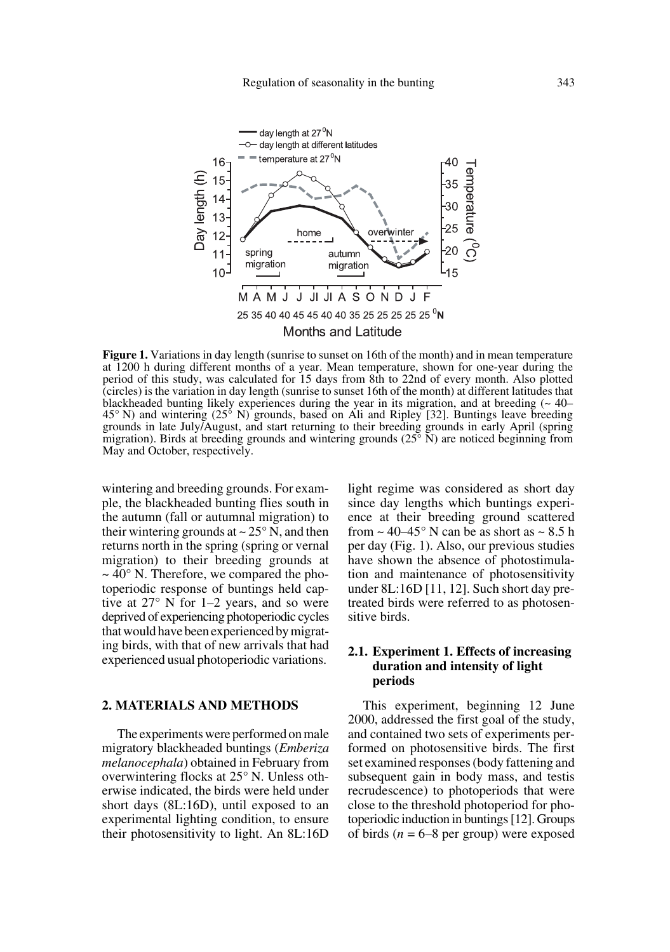

**Figure 1.** Variations in day length (sunrise to sunset on 16th of the month) and in mean temperature at 1200 h during different months of a year. Mean temperature, shown for one-year during the period of this study, was calculated for 15 days from 8th to 22nd of every month. Also plotted (circles) is the variation in day length (sunrise to sunset 16th of the month) at different latitudes that blackheaded bunting likely experiences during the year in its migration, and at breeding  $($   $\sim$  40 $-$ 45° N) and wintering (25° N) grounds, based on Ali and Ripley [32]. Buntings leave breeding grounds in late July/August, and start returning to their breeding grounds in early April (spring migration). Birds at breeding grounds and wintering grounds  $(25^{\circ} N)$  are noticed beginning from May and October, respectively.

wintering and breeding grounds. For example, the blackheaded bunting flies south in the autumn (fall or autumnal migration) to their wintering grounds at  $\sim$  25 $\degree$  N, and then returns north in the spring (spring or vernal migration) to their breeding grounds at  $\sim$  40 $\degree$  N. Therefore, we compared the photoperiodic response of buntings held captive at 27° N for 1–2 years, and so were deprived of experiencing photoperiodic cycles that would have been experienced by migrating birds, with that of new arrivals that had experienced usual photoperiodic variations.

## **2. MATERIALS AND METHODS**

The experiments were performed on male migratory blackheaded buntings (*Emberiza melanocephala*) obtained in February from overwintering flocks at 25° N. Unless otherwise indicated, the birds were held under short days (8L:16D), until exposed to an experimental lighting condition, to ensure their photosensitivity to light. An 8L:16D light regime was considered as short day since day lengths which buntings experience at their breeding ground scattered from  $\sim$  40–45° N can be as short as  $\sim$  8.5 h per day (Fig. 1). Also, our previous studies have shown the absence of photostimulation and maintenance of photosensitivity under 8L:16D [11, 12]. Such short day pretreated birds were referred to as photosensitive birds.

## **2.1. Experiment 1. Effects of increasing duration and intensity of light periods**

This experiment, beginning 12 June 2000, addressed the first goal of the study, and contained two sets of experiments performed on photosensitive birds. The first set examined responses (body fattening and subsequent gain in body mass, and testis recrudescence) to photoperiods that were close to the threshold photoperiod for photoperiodic induction in buntings [12]. Groups of birds  $(n = 6-8$  per group) were exposed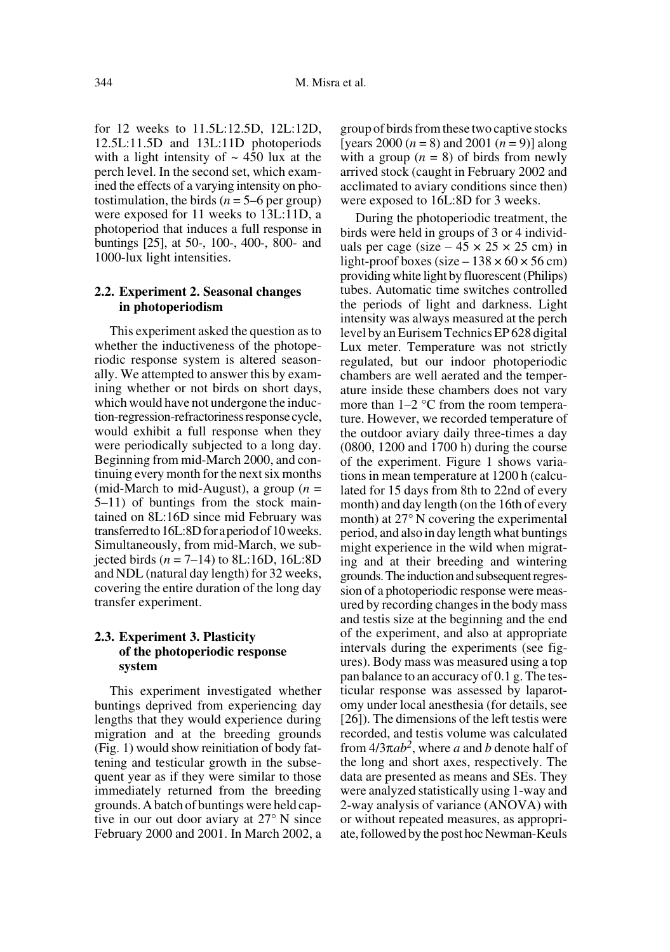for 12 weeks to 11.5L:12.5D, 12L:12D, 12.5L:11.5D and 13L:11D photoperiods with a light intensity of  $\sim$  450 lux at the perch level. In the second set, which examined the effects of a varying intensity on photostimulation, the birds  $(n = 5-6$  per group) were exposed for 11 weeks to 13L:11D, a photoperiod that induces a full response in buntings [25], at 50-, 100-, 400-, 800- and 1000-lux light intensities.

## **2.2. Experiment 2. Seasonal changes in photoperiodism**

This experiment asked the question as to whether the inductiveness of the photoperiodic response system is altered seasonally. We attempted to answer this by examining whether or not birds on short days, which would have not undergone the induction-regression-refractoriness response cycle, would exhibit a full response when they were periodically subjected to a long day. Beginning from mid-March 2000, and continuing every month for the next six months (mid-March to mid-August), a group (*n* = 5–11) of buntings from the stock maintained on 8L:16D since mid February was transferred to 16L:8D for a period of 10 weeks. Simultaneously, from mid-March, we subjected birds (*n* = 7–14) to 8L:16D, 16L:8D and NDL (natural day length) for 32 weeks, covering the entire duration of the long day transfer experiment.

## **2.3. Experiment 3. Plasticity of the photoperiodic response system**

This experiment investigated whether buntings deprived from experiencing day lengths that they would experience during migration and at the breeding grounds (Fig. 1) would show reinitiation of body fattening and testicular growth in the subsequent year as if they were similar to those immediately returned from the breeding grounds. A batch of buntings were held captive in our out door aviary at 27° N since February 2000 and 2001. In March 2002, a group of birds from these two captive stocks [years  $2000 (n = 8)$  and  $2001 (n = 9)$ ] along with a group  $(n = 8)$  of birds from newly arrived stock (caught in February 2002 and acclimated to aviary conditions since then) were exposed to 16L:8D for 3 weeks.

During the photoperiodic treatment, the birds were held in groups of 3 or 4 individuals per cage (size  $-45 \times 25 \times 25$  cm) in light-proof boxes (size  $-138 \times 60 \times 56$  cm) providing white light by fluorescent (Philips) tubes. Automatic time switches controlled the periods of light and darkness. Light intensity was always measured at the perch level by an Eurisem Technics EP 628 digital Lux meter. Temperature was not strictly regulated, but our indoor photoperiodic chambers are well aerated and the temperature inside these chambers does not vary more than 1–2 °C from the room temperature. However, we recorded temperature of the outdoor aviary daily three-times a day (0800, 1200 and 1700 h) during the course of the experiment. Figure 1 shows variations in mean temperature at 1200 h (calculated for 15 days from 8th to 22nd of every month) and day length (on the 16th of every month) at 27° N covering the experimental period, and also in day length what buntings might experience in the wild when migrating and at their breeding and wintering grounds.The induction and subsequent regression of a photoperiodic response were measured by recording changes in the body mass and testis size at the beginning and the end of the experiment, and also at appropriate intervals during the experiments (see figures). Body mass was measured using a top pan balance to an accuracy of 0.1 g. The testicular response was assessed by laparotomy under local anesthesia (for details, see [26]). The dimensions of the left testis were recorded, and testis volume was calculated from 4/3π*ab2*, where *a* and *b* denote half of the long and short axes, respectively. The data are presented as means and SEs. They were analyzed statistically using 1-way and 2-way analysis of variance (ANOVA) with or without repeated measures, as appropriate, followed by the post hoc Newman-Keuls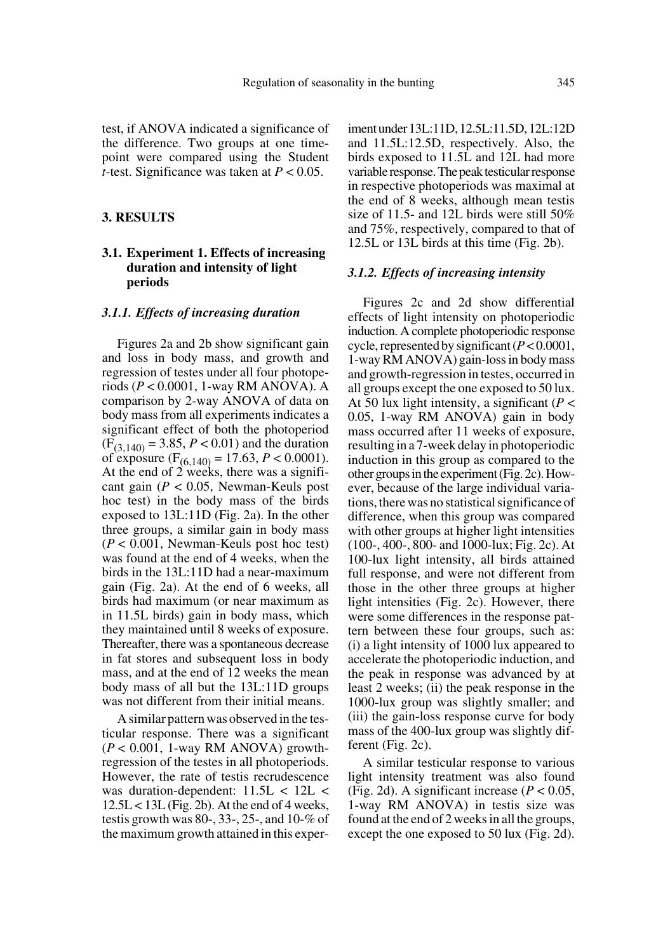test, if ANOVA indicated a significance of the difference. Two groups at one timepoint were compared using the Student *t*-test. Significance was taken at *P* < 0.05.

#### **3. RESULTS**

## **3.1. Experiment 1. Effects of increasing duration and intensity of light periods**

#### *3.1.1. Effects of increasing duration*

Figures 2a and 2b show significant gain and loss in body mass, and growth and regression of testes under all four photoperiods (*P* < 0.0001, 1-way RM ANOVA). A comparison by 2-way ANOVA of data on body mass from all experiments indicates a significant effect of both the photoperiod  $(F<sub>(3.140)</sub> = 3.85, P < 0.01)$  and the duration of exposure (F(6,140) = 17.63, *P* < 0.0001). At the end of 2 weeks, there was a significant gain (*P* < 0.05, Newman-Keuls post hoc test) in the body mass of the birds exposed to 13L:11D (Fig. 2a). In the other three groups, a similar gain in body mass (*P* < 0.001, Newman-Keuls post hoc test) was found at the end of 4 weeks, when the birds in the 13L:11D had a near-maximum gain (Fig. 2a). At the end of 6 weeks, all birds had maximum (or near maximum as in 11.5L birds) gain in body mass, which they maintained until 8 weeks of exposure. Thereafter, there was a spontaneous decrease in fat stores and subsequent loss in body mass, and at the end of 12 weeks the mean body mass of all but the 13L:11D groups was not different from their initial means.

A similar pattern was observed in the testicular response. There was a significant (*P* < 0.001, 1-way RM ANOVA) growthregression of the testes in all photoperiods. However, the rate of testis recrudescence was duration-dependent: 11.5L < 12L <  $12.5L < 13L$  (Fig. 2b). At the end of 4 weeks, testis growth was 80-, 33-, 25-, and 10-% of the maximum growth attained in this experiment under 13L:11D, 12.5L:11.5D, 12L:12D and 11.5L:12.5D, respectively. Also, the birds exposed to 11.5L and 12L had more variable response. The peak testicular response in respective photoperiods was maximal at the end of 8 weeks, although mean testis size of 11.5- and 12L birds were still 50% and 75%, respectively, compared to that of 12.5L or 13L birds at this time (Fig. 2b).

#### *3.1.2. Effects of increasing intensity*

Figures 2c and 2d show differential effects of light intensity on photoperiodic induction. A complete photoperiodic response cycle, represented by significant (*P* < 0.0001, 1-way RM ANOVA) gain-loss in body mass and growth-regression in testes, occurred in all groups except the one exposed to 50 lux. At 50 lux light intensity, a significant (*P* < 0.05, 1-way RM ANOVA) gain in body mass occurred after 11 weeks of exposure, resulting in a 7-week delay in photoperiodic induction in this group as compared to the other groups in the experiment (Fig. 2c). However, because of the large individual variations, there was no statistical significance of difference, when this group was compared with other groups at higher light intensities (100-, 400-, 800- and 1000-lux; Fig. 2c). At 100-lux light intensity, all birds attained full response, and were not different from those in the other three groups at higher light intensities (Fig. 2c). However, there were some differences in the response pattern between these four groups, such as: (i) a light intensity of 1000 lux appeared to accelerate the photoperiodic induction, and the peak in response was advanced by at least 2 weeks; (ii) the peak response in the 1000-lux group was slightly smaller; and (iii) the gain-loss response curve for body mass of the 400-lux group was slightly different (Fig. 2c).

A similar testicular response to various light intensity treatment was also found (Fig. 2d). A significant increase (*P* < 0.05, 1-way RM ANOVA) in testis size was found at the end of 2 weeks in all the groups, except the one exposed to 50 lux (Fig. 2d).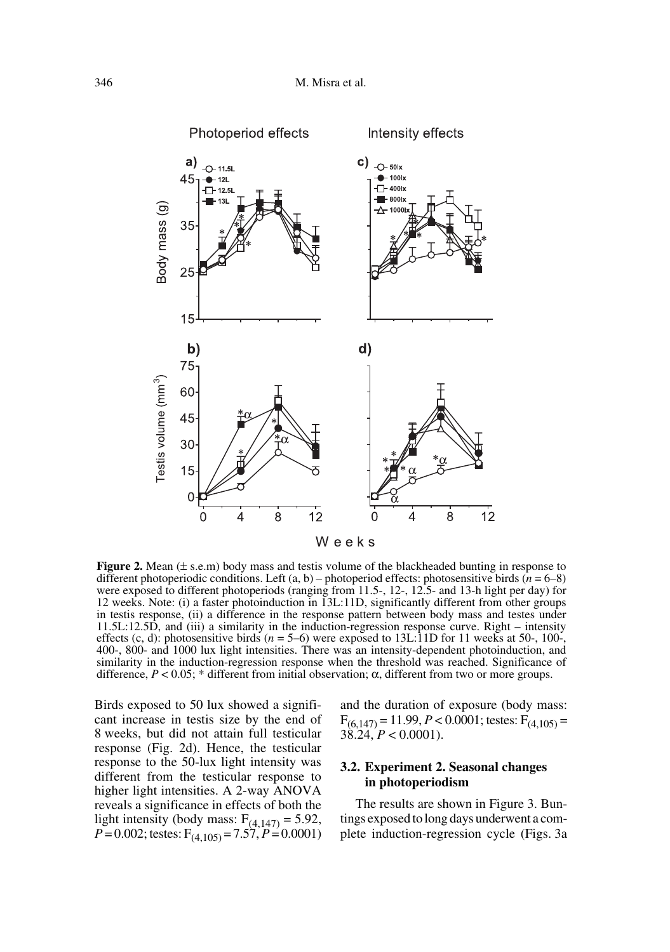

**Figure 2.** Mean ( $\pm$  s.e.m) body mass and testis volume of the blackheaded bunting in response to different photoperiodic conditions. Left (a, b) – photoperiod effects: photosensitive birds (*n* = 6–8) were exposed to different photoperiods (ranging from 11.5-, 12-, 12.5- and 13-h light per day) for 12 weeks. Note: (i) a faster photoinduction in 13L:11D, significantly different from other groups in testis response, (ii) a difference in the response pattern between body mass and testes under 11.5L:12.5D, and (iii) a similarity in the induction-regression response curve. Right – intensity effects (c, d): photosensitive birds  $(n = 5-6)$  were exposed to 13L:11D for 11 weeks at 50-, 100-, 400-, 800- and 1000 lux light intensities. There was an intensity-dependent photoinduction, and similarity in the induction-regression response when the threshold was reached. Significance of difference,  $P < 0.05$ ; \* different from initial observation; α, different from two or more groups.

Birds exposed to 50 lux showed a significant increase in testis size by the end of 8 weeks, but did not attain full testicular response (Fig. 2d). Hence, the testicular response to the 50-lux light intensity was different from the testicular response to higher light intensities. A 2-way ANOVA reveals a significance in effects of both the light intensity (body mass:  $F_{(4,147)} = 5.92$ ,  $P = 0.002$ ; testes:  $F_{(4,105)} = 7.57$ ,  $P = 0.0001$ )

and the duration of exposure (body mass:  $F_{(6,147)} = 11.99, P < 0.0001$ ; testes:  $F_{(4,105)} =$  $38.24, P < 0.0001$ ).

## **3.2. Experiment 2. Seasonal changes in photoperiodism**

The results are shown in Figure 3. Buntings exposed to long days underwent a complete induction-regression cycle (Figs. 3a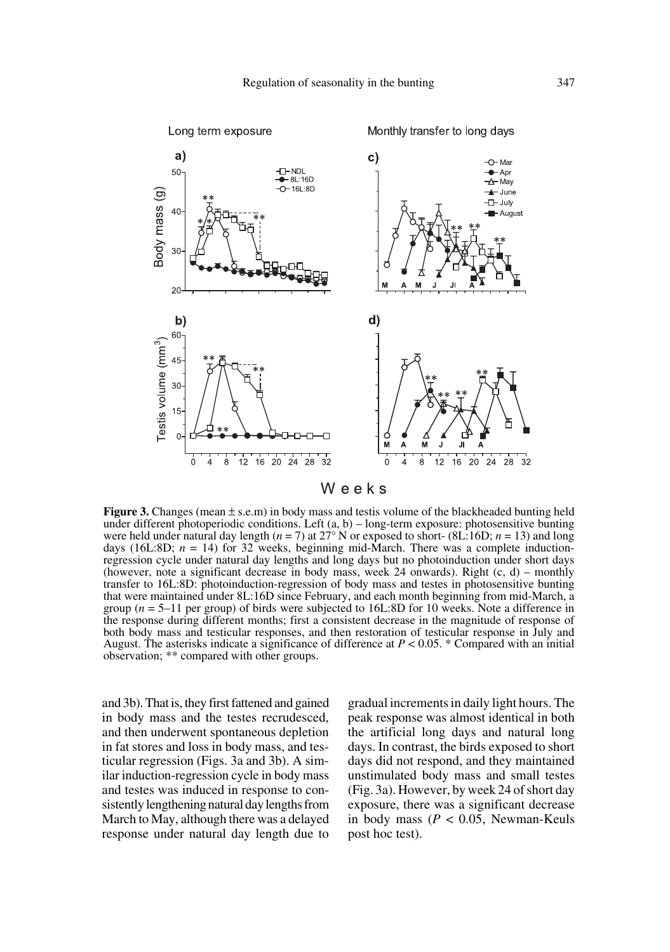

**Figure 3.** Changes (mean  $\pm$  s.e.m) in body mass and testis volume of the blackheaded bunting held under different photoperiodic conditions. Left (a, b) – long-term exposure: photosensitive bunting were held under natural day length (*n* = 7) at 27° N or exposed to short- (8L:16D; *n* = 13) and long days (16L:8D;  $n = 14$ ) for 32 weeks, beginning mid-March. There was a complete inductionregression cycle under natural day lengths and long days but no photoinduction under short days (however, note a significant decrease in body mass, week 24 onwards). Right  $(c, d)$  – monthly transfer to 16L:8D: photoinduction-regression of body mass and testes in photosensitive bunting that were maintained under 8L:16D since February, and each month beginning from mid-March, a group (*n* = 5–11 per group) of birds were subjected to 16L:8D for 10 weeks. Note a difference in the response during different months; first a consistent decrease in the magnitude of response of both body mass and testicular responses, and then restoration of testicular response in July and August. The asterisks indicate a significance of difference at  $P < 0.05$ . \* Compared with an initial observation; \*\* compared with other groups.

and 3b). That is, they first fattened and gained in body mass and the testes recrudesced, and then underwent spontaneous depletion in fat stores and loss in body mass, and testicular regression (Figs. 3a and 3b). A similar induction-regression cycle in body mass and testes was induced in response to consistently lengthening natural day lengths from March to May, although there was a delayed response under natural day length due to gradual increments in daily light hours. The peak response was almost identical in both the artificial long days and natural long days. In contrast, the birds exposed to short days did not respond, and they maintained unstimulated body mass and small testes (Fig. 3a). However, by week 24 of short day exposure, there was a significant decrease in body mass (*P* < 0.05, Newman-Keuls post hoc test).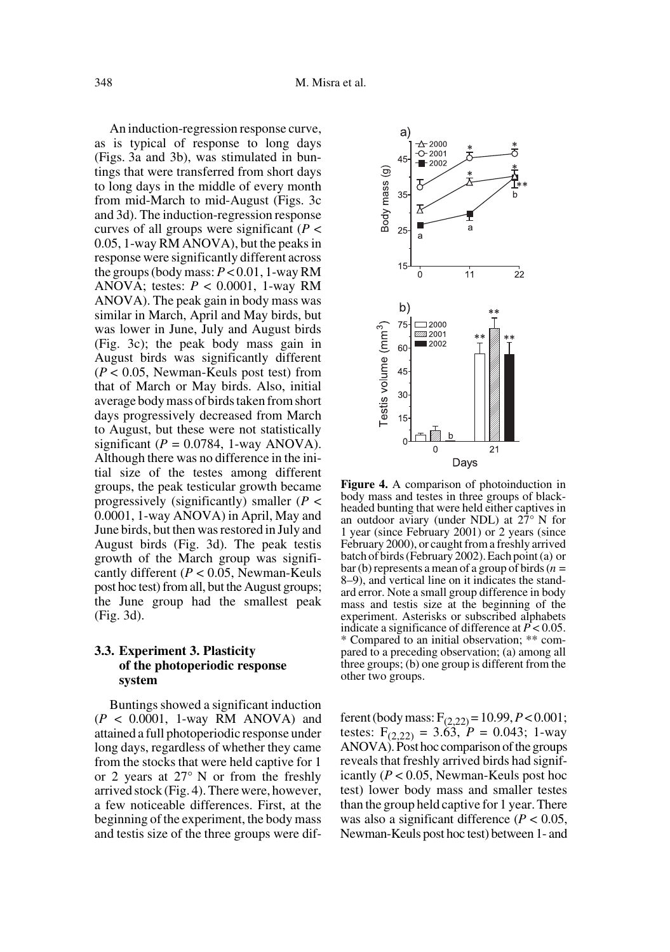An induction-regression response curve, as is typical of response to long days (Figs. 3a and 3b), was stimulated in buntings that were transferred from short days to long days in the middle of every month from mid-March to mid-August (Figs. 3c and 3d). The induction-regression response curves of all groups were significant (*P* < 0.05, 1-way RM ANOVA), but the peaks in response were significantly different across the groups (body mass: *P* < 0.01, 1-way RM ANOVA; testes: *P* < 0.0001, 1-way RM ANOVA). The peak gain in body mass was similar in March, April and May birds, but was lower in June, July and August birds (Fig. 3c); the peak body mass gain in August birds was significantly different (*P* < 0.05, Newman-Keuls post test) from that of March or May birds. Also, initial average body mass of birds taken from short days progressively decreased from March to August, but these were not statistically significant ( $P = 0.0784$ , 1-way ANOVA). Although there was no difference in the initial size of the testes among different groups, the peak testicular growth became progressively (significantly) smaller (*P* < 0.0001, 1-way ANOVA) in April, May and June birds, but then was restored in July and August birds (Fig. 3d). The peak testis growth of the March group was significantly different (*P* < 0.05, Newman-Keuls post hoc test) from all, but the August groups; the June group had the smallest peak (Fig. 3d).

## **3.3. Experiment 3. Plasticity of the photoperiodic response system**

Buntings showed a significant induction (*P* < 0.0001, 1-way RM ANOVA) and attained a full photoperiodic response under long days, regardless of whether they came from the stocks that were held captive for 1 or 2 years at 27° N or from the freshly arrived stock (Fig. 4). There were, however, a few noticeable differences. First, at the beginning of the experiment, the body mass and testis size of the three groups were dif-



**Figure 4.** A comparison of photoinduction in body mass and testes in three groups of blackheaded bunting that were held either captives in an outdoor aviary (under NDL) at  $27^{\circ}$  N for 1 year (since February 2001) or 2 years (since February 2000), or caught from a freshly arrived batch of birds (February 2002). Each point (a) or bar (b) represents a mean of a group of birds (*n* = 8–9), and vertical line on it indicates the standard error. Note a small group difference in body mass and testis size at the beginning of the experiment. Asterisks or subscribed alphabets indicate a significance of difference at  $\vec{P}$  < 0.05. \* Compared to an initial observation; \*\* compared to a preceding observation; (a) among all three groups; (b) one group is different from the other two groups.

ferent (body mass: F(2,22) = 10.99, *P* < 0.001; testes:  $F_{(2,22)} = 3.63$ ,  $P = 0.043$ ; 1-way ANOVA). Post hoc comparison of the groups reveals that freshly arrived birds had significantly (*P* < 0.05, Newman-Keuls post hoc test) lower body mass and smaller testes than the group held captive for 1 year. There was also a significant difference (*P* < 0.05, Newman-Keuls post hoc test) between 1- and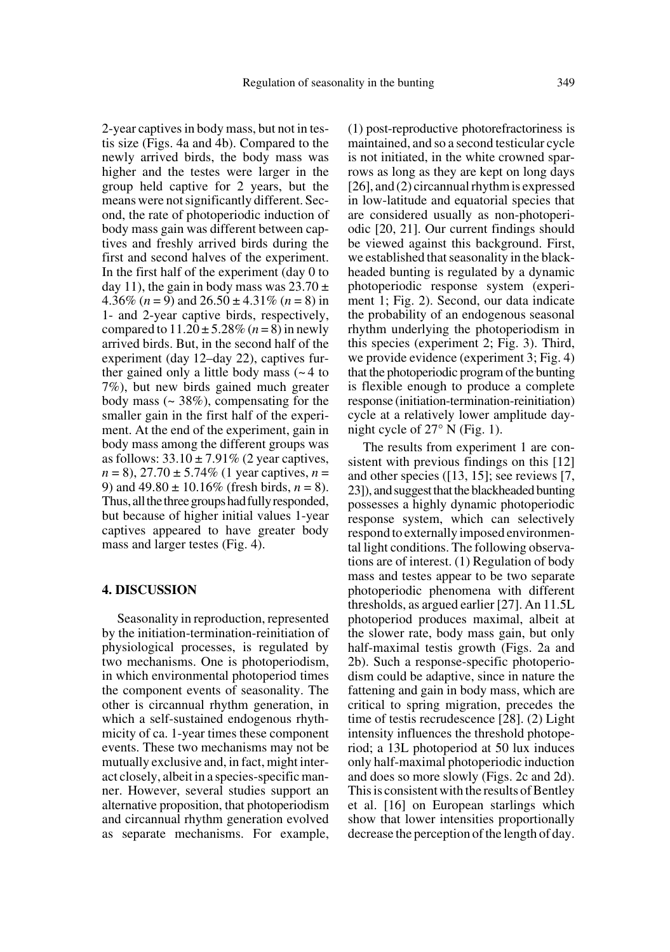2-year captives in body mass, but not in testis size (Figs. 4a and 4b). Compared to the newly arrived birds, the body mass was higher and the testes were larger in the group held captive for 2 years, but the means were not significantly different. Second, the rate of photoperiodic induction of body mass gain was different between captives and freshly arrived birds during the first and second halves of the experiment. In the first half of the experiment (day 0 to day 11), the gain in body mass was  $23.70 \pm$ 4.36%  $(n = 9)$  and  $26.50 \pm 4.31$ %  $(n = 8)$  in 1- and 2-year captive birds, respectively, compared to  $11.20 \pm 5.28\%$  (*n* = 8) in newly arrived birds. But, in the second half of the experiment (day 12–day 22), captives further gained only a little body mass  $($   $\sim$  4 to 7%), but new birds gained much greater body mass  $($   $\sim$  38%), compensating for the smaller gain in the first half of the experiment. At the end of the experiment, gain in body mass among the different groups was as follows:  $33.10 \pm 7.91\%$  (2 year captives, *n* = 8), 27.70 ± 5.74% (1 year captives, *n* = 9) and  $49.80 \pm 10.16\%$  (fresh birds,  $n = 8$ ). Thus, all the three groups had fully responded, but because of higher initial values 1-year captives appeared to have greater body mass and larger testes (Fig. 4).

#### **4. DISCUSSION**

Seasonality in reproduction, represented by the initiation-termination-reinitiation of physiological processes, is regulated by two mechanisms. One is photoperiodism, in which environmental photoperiod times the component events of seasonality. The other is circannual rhythm generation, in which a self-sustained endogenous rhythmicity of ca. 1-year times these component events. These two mechanisms may not be mutually exclusive and, in fact, might interact closely, albeit in a species-specific manner. However, several studies support an alternative proposition, that photoperiodism and circannual rhythm generation evolved as separate mechanisms. For example,

(1) post-reproductive photorefractoriness is maintained, and so a second testicular cycle is not initiated, in the white crowned sparrows as long as they are kept on long days [26], and (2) circannual rhythm is expressed in low-latitude and equatorial species that are considered usually as non-photoperiodic [20, 21]. Our current findings should be viewed against this background. First, we established that seasonality in the blackheaded bunting is regulated by a dynamic photoperiodic response system (experiment 1; Fig. 2). Second, our data indicate the probability of an endogenous seasonal rhythm underlying the photoperiodism in this species (experiment 2; Fig. 3). Third, we provide evidence (experiment 3; Fig. 4) that the photoperiodic program of the bunting is flexible enough to produce a complete response (initiation-termination-reinitiation) cycle at a relatively lower amplitude daynight cycle of 27° N (Fig. 1).

The results from experiment 1 are consistent with previous findings on this [12] and other species ([13, 15]; see reviews [7, 23]), and suggest that the blackheaded bunting possesses a highly dynamic photoperiodic response system, which can selectively respond to externally imposed environmental light conditions. The following observations are of interest. (1) Regulation of body mass and testes appear to be two separate photoperiodic phenomena with different thresholds, as argued earlier [27]. An 11.5L photoperiod produces maximal, albeit at the slower rate, body mass gain, but only half-maximal testis growth (Figs. 2a and 2b). Such a response-specific photoperiodism could be adaptive, since in nature the fattening and gain in body mass, which are critical to spring migration, precedes the time of testis recrudescence [28]. (2) Light intensity influences the threshold photoperiod; a 13L photoperiod at 50 lux induces only half-maximal photoperiodic induction and does so more slowly (Figs. 2c and 2d). This is consistent with the results of Bentley et al. [16] on European starlings which show that lower intensities proportionally decrease the perception of the length of day.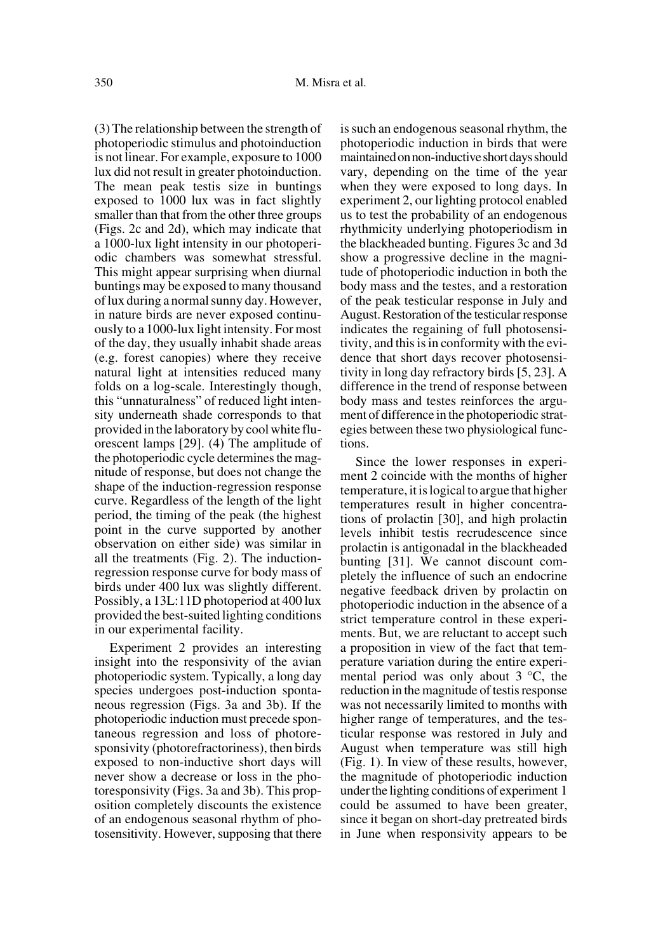(3) The relationship between the strength of photoperiodic stimulus and photoinduction is not linear. For example, exposure to 1000 lux did not result in greater photoinduction. The mean peak testis size in buntings exposed to 1000 lux was in fact slightly smaller than that from the other three groups (Figs. 2c and 2d), which may indicate that a 1000-lux light intensity in our photoperiodic chambers was somewhat stressful. This might appear surprising when diurnal buntings may be exposed to many thousand of lux during a normal sunny day. However, in nature birds are never exposed continuously to a 1000-lux light intensity. For most of the day, they usually inhabit shade areas (e.g. forest canopies) where they receive natural light at intensities reduced many folds on a log-scale. Interestingly though, this "unnaturalness" of reduced light intensity underneath shade corresponds to that provided in the laboratory by cool white fluorescent lamps [29]. (4) The amplitude of the photoperiodic cycle determines the magnitude of response, but does not change the shape of the induction-regression response curve. Regardless of the length of the light period, the timing of the peak (the highest point in the curve supported by another observation on either side) was similar in all the treatments (Fig. 2). The inductionregression response curve for body mass of birds under 400 lux was slightly different. Possibly, a 13L:11D photoperiod at 400 lux provided the best-suited lighting conditions in our experimental facility.

Experiment 2 provides an interesting insight into the responsivity of the avian photoperiodic system. Typically, a long day species undergoes post-induction spontaneous regression (Figs. 3a and 3b). If the photoperiodic induction must precede spontaneous regression and loss of photoresponsivity (photorefractoriness), then birds exposed to non-inductive short days will never show a decrease or loss in the photoresponsivity (Figs. 3a and 3b). This proposition completely discounts the existence of an endogenous seasonal rhythm of photosensitivity. However, supposing that there is such an endogenous seasonal rhythm, the photoperiodic induction in birds that were maintained on non-inductive short days should vary, depending on the time of the year when they were exposed to long days. In experiment 2, our lighting protocol enabled us to test the probability of an endogenous rhythmicity underlying photoperiodism in the blackheaded bunting. Figures 3c and 3d show a progressive decline in the magnitude of photoperiodic induction in both the body mass and the testes, and a restoration of the peak testicular response in July and August. Restoration of the testicular response indicates the regaining of full photosensitivity, and this is in conformity with the evidence that short days recover photosensitivity in long day refractory birds [5, 23]. A difference in the trend of response between body mass and testes reinforces the argument of difference in the photoperiodic strategies between these two physiological functions.

Since the lower responses in experiment 2 coincide with the months of higher temperature, it is logical to argue that higher temperatures result in higher concentrations of prolactin [30], and high prolactin levels inhibit testis recrudescence since prolactin is antigonadal in the blackheaded bunting [31]. We cannot discount completely the influence of such an endocrine negative feedback driven by prolactin on photoperiodic induction in the absence of a strict temperature control in these experiments. But, we are reluctant to accept such a proposition in view of the fact that temperature variation during the entire experimental period was only about 3 °C, the reduction in the magnitude of testis response was not necessarily limited to months with higher range of temperatures, and the testicular response was restored in July and August when temperature was still high (Fig. 1). In view of these results, however, the magnitude of photoperiodic induction under the lighting conditions of experiment 1 could be assumed to have been greater, since it began on short-day pretreated birds in June when responsivity appears to be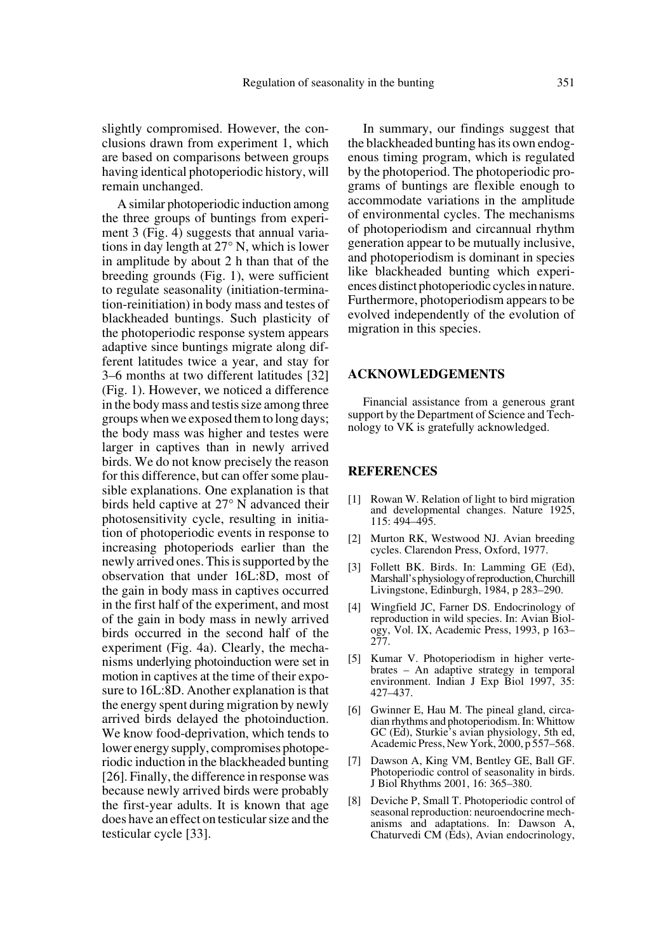slightly compromised. However, the conclusions drawn from experiment 1, which are based on comparisons between groups having identical photoperiodic history, will remain unchanged.

A similar photoperiodic induction among the three groups of buntings from experiment 3 (Fig. 4) suggests that annual variations in day length at 27° N, which is lower in amplitude by about 2 h than that of the breeding grounds (Fig. 1), were sufficient to regulate seasonality (initiation-termination-reinitiation) in body mass and testes of blackheaded buntings. Such plasticity of the photoperiodic response system appears adaptive since buntings migrate along different latitudes twice a year, and stay for 3–6 months at two different latitudes [32] (Fig. 1). However, we noticed a difference in the body mass and testis size among three groups when we exposed them to long days; the body mass was higher and testes were larger in captives than in newly arrived birds. We do not know precisely the reason for this difference, but can offer some plausible explanations. One explanation is that birds held captive at 27° N advanced their photosensitivity cycle, resulting in initiation of photoperiodic events in response to increasing photoperiods earlier than the newly arrived ones. This is supported by the observation that under 16L:8D, most of the gain in body mass in captives occurred in the first half of the experiment, and most of the gain in body mass in newly arrived birds occurred in the second half of the experiment (Fig. 4a). Clearly, the mechanisms underlying photoinduction were set in motion in captives at the time of their exposure to 16L:8D. Another explanation is that the energy spent during migration by newly arrived birds delayed the photoinduction. We know food-deprivation, which tends to lower energy supply, compromises photoperiodic induction in the blackheaded bunting [26]. Finally, the difference in response was because newly arrived birds were probably the first-year adults. It is known that age does have an effect on testicular size and the testicular cycle [33].

In summary, our findings suggest that the blackheaded bunting has its own endogenous timing program, which is regulated by the photoperiod. The photoperiodic programs of buntings are flexible enough to accommodate variations in the amplitude of environmental cycles. The mechanisms of photoperiodism and circannual rhythm generation appear to be mutually inclusive, and photoperiodism is dominant in species like blackheaded bunting which experiences distinct photoperiodic cycles in nature. Furthermore, photoperiodism appears to be evolved independently of the evolution of migration in this species.

#### **ACKNOWLEDGEMENTS**

Financial assistance from a generous grant support by the Department of Science and Technology to VK is gratefully acknowledged.

#### **REFERENCES**

- [1] Rowan W. Relation of light to bird migration and developmental changes. Nature 1925, 115: 494–495.
- [2] Murton RK, Westwood NJ. Avian breeding cycles. Clarendon Press, Oxford, 1977.
- Follett BK. Birds. In: Lamming GE (Ed), Marshall's physiology of reproduction, Churchill Livingstone, Edinburgh, 1984, p 283–290.
- [4] Wingfield JC, Farner DS. Endocrinology of reproduction in wild species. In: Avian Biology, Vol. IX, Academic Press, 1993, p 163– 277.
- [5] Kumar V. Photoperiodism in higher vertebrates – An adaptive strategy in temporal environment. Indian J Exp Biol 1997, 35: 427–437.
- [6] Gwinner E, Hau M. The pineal gland, circadian rhythms and photoperiodism. In: Whittow GC (Ed), Sturkie's avian physiology, 5th ed, Academic Press, New York, 2000, p 557–568.
- [7] Dawson A, King VM, Bentley GE, Ball GF. Photoperiodic control of seasonality in birds. J Biol Rhythms 2001, 16: 365–380.
- [8] Deviche P, Small T. Photoperiodic control of seasonal reproduction: neuroendocrine mechanisms and adaptations. In: Dawson A, Chaturvedi CM (Eds), Avian endocrinology,